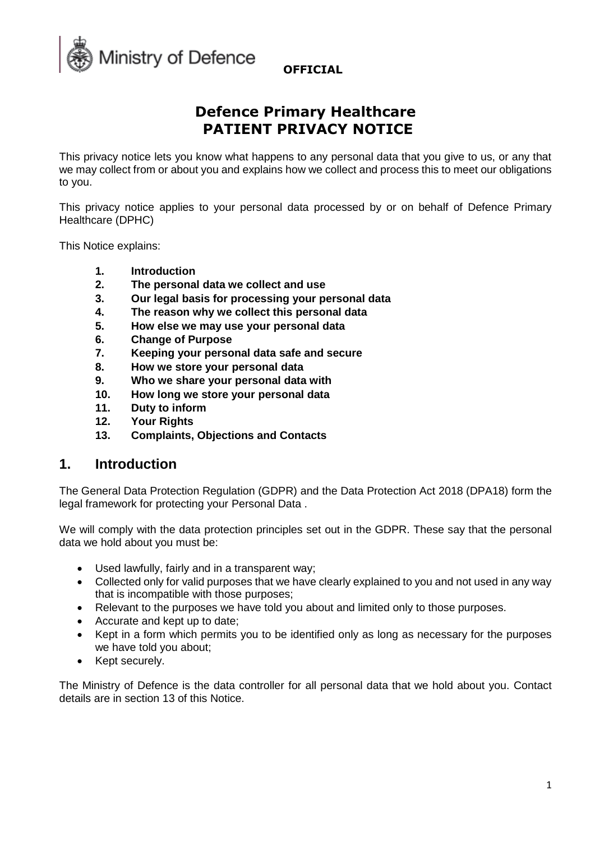

# **Defence Primary Healthcare PATIENT PRIVACY NOTICE**

This privacy notice lets you know what happens to any personal data that you give to us, or any that we may collect from or about you and explains how we collect and process this to meet our obligations to you.

This privacy notice applies to your personal data processed by or on behalf of Defence Primary Healthcare (DPHC)

This Notice explains:

- **1. Introduction**
- **2. The personal data we collect and use**
- **3. Our legal basis for processing your personal data**
- **4. The reason why we collect this personal data**
- **5. How else we may use your personal data**
- **6. Change of Purpose**
- **7. Keeping your personal data safe and secure**
- **8. How we store your personal data**
- **9. Who we share your personal data with**
- **10. How long we store your personal data**
- **11. Duty to inform**
- **12. Your Rights**
- **13. Complaints, Objections and Contacts**

### **1. Introduction**

The General Data Protection Regulation (GDPR) and the Data Protection Act 2018 (DPA18) form the legal framework for protecting your Personal Data .

We will comply with the data protection principles set out in the GDPR. These say that the personal data we hold about you must be:

- Used lawfully, fairly and in a transparent way;
- Collected only for valid purposes that we have clearly explained to you and not used in any way that is incompatible with those purposes;
- Relevant to the purposes we have told you about and limited only to those purposes.
- Accurate and kept up to date;
- Kept in a form which permits you to be identified only as long as necessary for the purposes we have told you about;
- Kept securely.

The Ministry of Defence is the data controller for all personal data that we hold about you. Contact details are in section 13 of this Notice.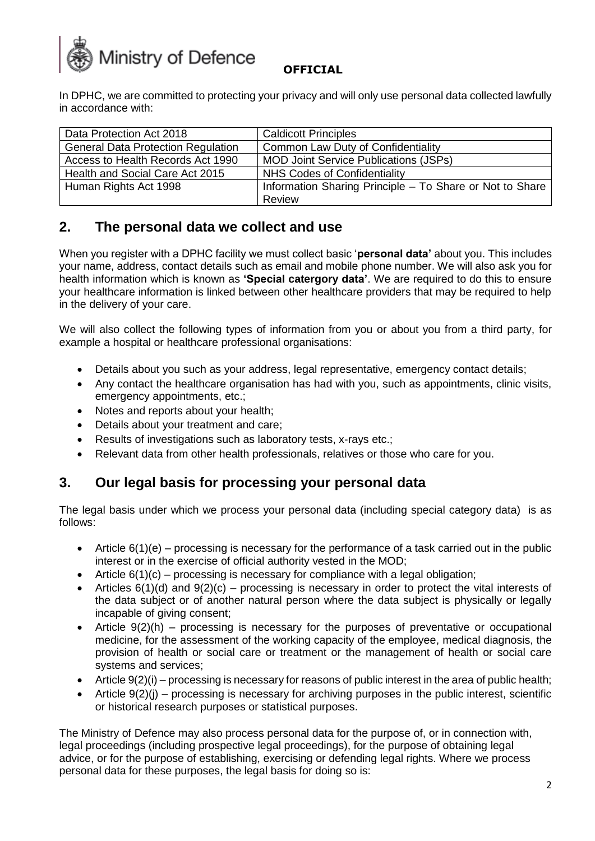

In DPHC, we are committed to protecting your privacy and will only use personal data collected lawfully in accordance with:

| Data Protection Act 2018                  | <b>Caldicott Principles</b>                              |
|-------------------------------------------|----------------------------------------------------------|
| <b>General Data Protection Regulation</b> | Common Law Duty of Confidentiality                       |
| Access to Health Records Act 1990         | <b>MOD Joint Service Publications (JSPs)</b>             |
| Health and Social Care Act 2015           | NHS Codes of Confidentiality                             |
| Human Rights Act 1998                     | Information Sharing Principle - To Share or Not to Share |
|                                           | Review                                                   |

## **2. The personal data we collect and use**

When you register with a DPHC facility we must collect basic '**personal data'** about you. This includes your name, address, contact details such as email and mobile phone number. We will also ask you for health information which is known as **'Special catergory data'**. We are required to do this to ensure your healthcare information is linked between other healthcare providers that may be required to help in the delivery of your care.

We will also collect the following types of information from you or about you from a third party, for example a hospital or healthcare professional organisations:

- Details about you such as your address, legal representative, emergency contact details;
- Any contact the healthcare organisation has had with you, such as appointments, clinic visits, emergency appointments, etc.;
- Notes and reports about your health;
- Details about your treatment and care;
- Results of investigations such as laboratory tests, x-rays etc.;
- Relevant data from other health professionals, relatives or those who care for you.

### **3. Our legal basis for processing your personal data**

The legal basis under which we process your personal data (including special category data) is as follows:

- Article  $6(1)(e)$  processing is necessary for the performance of a task carried out in the public interest or in the exercise of official authority vested in the MOD;
- Article  $6(1)(c)$  processing is necessary for compliance with a legal obligation;
- Articles  $6(1)(d)$  and  $9(2)(c)$  processing is necessary in order to protect the vital interests of the data subject or of another natural person where the data subject is physically or legally incapable of giving consent;
- Article  $9(2)(h)$  processing is necessary for the purposes of preventative or occupational medicine, for the assessment of the working capacity of the employee, medical diagnosis, the provision of health or social care or treatment or the management of health or social care systems and services;
- Article  $9(2)(i)$  processing is necessary for reasons of public interest in the area of public health;
- Article 9(2)(j) processing is necessary for archiving purposes in the public interest, scientific or historical research purposes or statistical purposes.

The Ministry of Defence may also process personal data for the purpose of, or in connection with, legal proceedings (including prospective legal proceedings), for the purpose of obtaining legal advice, or for the purpose of establishing, exercising or defending legal rights. Where we process personal data for these purposes, the legal basis for doing so is: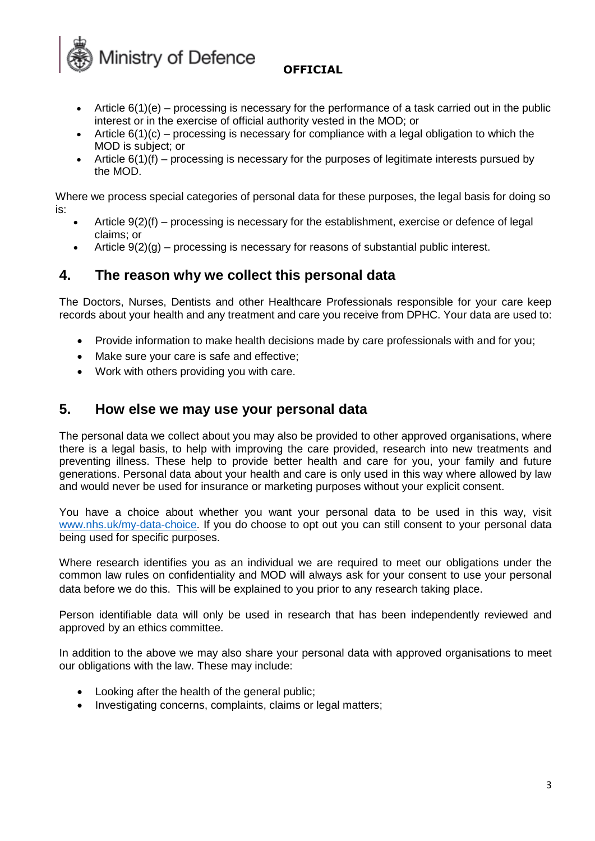**Ministry of Defence OFFICIAL** 

- Article  $6(1)(e)$  processing is necessary for the performance of a task carried out in the public interest or in the exercise of official authority vested in the MOD; or
- Article  $6(1)(c)$  processing is necessary for compliance with a legal obligation to which the MOD is subject; or
- Article 6(1)(f) processing is necessary for the purposes of legitimate interests pursued by the MOD.

Where we process special categories of personal data for these purposes, the legal basis for doing so is:

- Article  $9(2)(f)$  processing is necessary for the establishment, exercise or defence of legal claims; or
- Article  $9(2)(q)$  processing is necessary for reasons of substantial public interest.

## **4. The reason why we collect this personal data**

The Doctors, Nurses, Dentists and other Healthcare Professionals responsible for your care keep records about your health and any treatment and care you receive from DPHC. Your data are used to:

- Provide information to make health decisions made by care professionals with and for you;
- Make sure your care is safe and effective;
- Work with others providing you with care.

### **5. How else we may use your personal data**

The personal data we collect about you may also be provided to other approved organisations, where there is a legal basis, to help with improving the care provided, research into new treatments and preventing illness. These help to provide better health and care for you, your family and future generations. Personal data about your health and care is only used in this way where allowed by law and would never be used for insurance or marketing purposes without your explicit consent.

You have a choice about whether you want your personal data to be used in this way, visit [www.nhs.uk/my-data-choice.](http://www.nhs.uk/my-data-choice) If you do choose to opt out you can still consent to your personal data being used for specific purposes.

Where research identifies you as an individual we are required to meet our obligations under the common law rules on confidentiality and MOD will always ask for your consent to use your personal data before we do this. This will be explained to you prior to any research taking place.

Person identifiable data will only be used in research that has been independently reviewed and approved by an ethics committee.

In addition to the above we may also share your personal data with approved organisations to meet our obligations with the law. These may include:

- Looking after the health of the general public;
- Investigating concerns, complaints, claims or legal matters;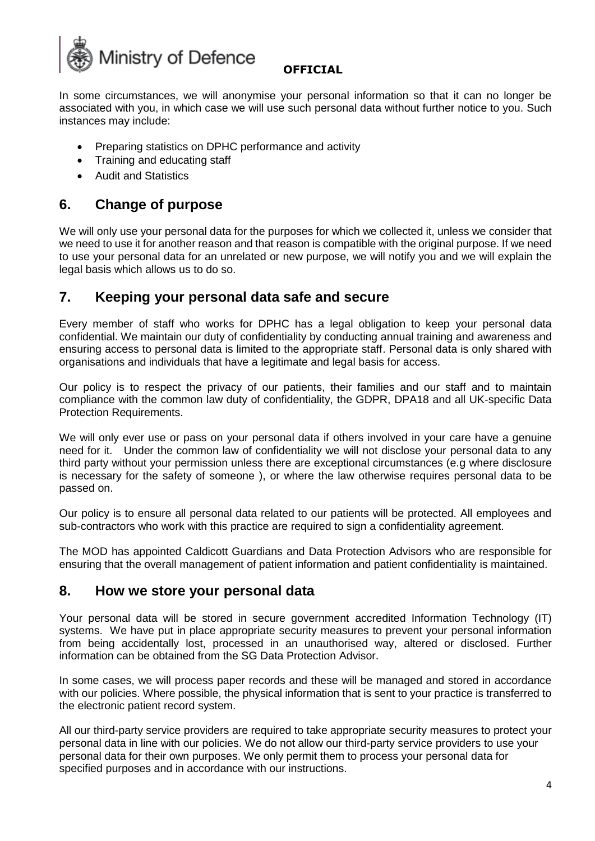

In some circumstances, we will anonymise your personal information so that it can no longer be associated with you, in which case we will use such personal data without further notice to you. Such instances may include:

- Preparing statistics on DPHC performance and activity
- Training and educating staff
- Audit and Statistics

## **6. Change of purpose**

We will only use your personal data for the purposes for which we collected it, unless we consider that we need to use it for another reason and that reason is compatible with the original purpose. If we need to use your personal data for an unrelated or new purpose, we will notify you and we will explain the legal basis which allows us to do so.

### **7. Keeping your personal data safe and secure**

Every member of staff who works for DPHC has a legal obligation to keep your personal data confidential. We maintain our duty of confidentiality by conducting annual training and awareness and ensuring access to personal data is limited to the appropriate staff. Personal data is only shared with organisations and individuals that have a legitimate and legal basis for access.

Our policy is to respect the privacy of our patients, their families and our staff and to maintain compliance with the common law duty of confidentiality, the GDPR, DPA18 and all UK-specific Data Protection Requirements.

We will only ever use or pass on your personal data if others involved in your care have a genuine need for it. Under the common law of confidentiality we will not disclose your personal data to any third party without your permission unless there are exceptional circumstances (e.g where disclosure is necessary for the safety of someone ), or where the law otherwise requires personal data to be passed on.

Our policy is to ensure all personal data related to our patients will be protected. All employees and sub-contractors who work with this practice are required to sign a confidentiality agreement.

The MOD has appointed Caldicott Guardians and Data Protection Advisors who are responsible for ensuring that the overall management of patient information and patient confidentiality is maintained.

### **8. How we store your personal data**

Your personal data will be stored in secure government accredited Information Technology (IT) systems. We have put in place appropriate security measures to prevent your personal information from being accidentally lost, processed in an unauthorised way, altered or disclosed. Further information can be obtained from the SG Data Protection Advisor.

In some cases, we will process paper records and these will be managed and stored in accordance with our policies. Where possible, the physical information that is sent to your practice is transferred to the electronic patient record system.

All our third-party service providers are required to take appropriate security measures to protect your personal data in line with our policies. We do not allow our third-party service providers to use your personal data for their own purposes. We only permit them to process your personal data for specified purposes and in accordance with our instructions.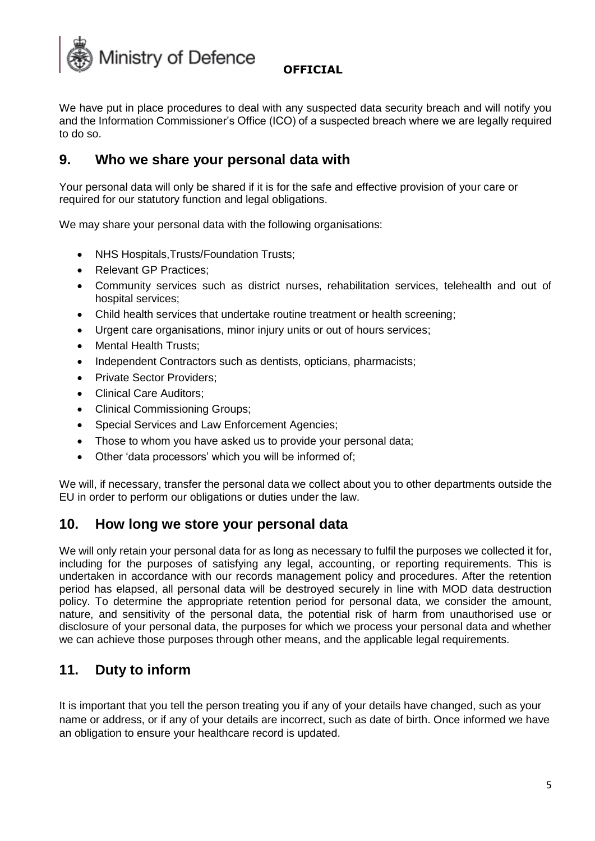

We have put in place procedures to deal with any suspected data security breach and will notify you and the Information Commissioner's Office (ICO) of a suspected breach where we are legally required to do so.

## **9. Who we share your personal data with**

Your personal data will only be shared if it is for the safe and effective provision of your care or required for our statutory function and legal obligations.

We may share your personal data with the following organisations:

- NHS Hospitals,Trusts/Foundation Trusts;
- Relevant GP Practices;
- Community services such as district nurses, rehabilitation services, telehealth and out of hospital services;
- Child health services that undertake routine treatment or health screening;
- Urgent care organisations, minor injury units or out of hours services;
- **Mental Health Trusts:**
- Independent Contractors such as dentists, opticians, pharmacists;
- Private Sector Providers;
- Clinical Care Auditors;
- Clinical Commissioning Groups;
- Special Services and Law Enforcement Agencies;
- Those to whom you have asked us to provide your personal data;
- Other 'data processors' which you will be informed of;

We will, if necessary, transfer the personal data we collect about you to other departments outside the EU in order to perform our obligations or duties under the law.

### **10. How long we store your personal data**

We will only retain your personal data for as long as necessary to fulfil the purposes we collected it for, including for the purposes of satisfying any legal, accounting, or reporting requirements. This is undertaken in accordance with our records management policy and procedures. After the retention period has elapsed, all personal data will be destroyed securely in line with MOD data destruction policy. To determine the appropriate retention period for personal data, we consider the amount, nature, and sensitivity of the personal data, the potential risk of harm from unauthorised use or disclosure of your personal data, the purposes for which we process your personal data and whether we can achieve those purposes through other means, and the applicable legal requirements.

## **11. Duty to inform**

It is important that you tell the person treating you if any of your details have changed, such as your name or address, or if any of your details are incorrect, such as date of birth. Once informed we have an obligation to ensure your healthcare record is updated.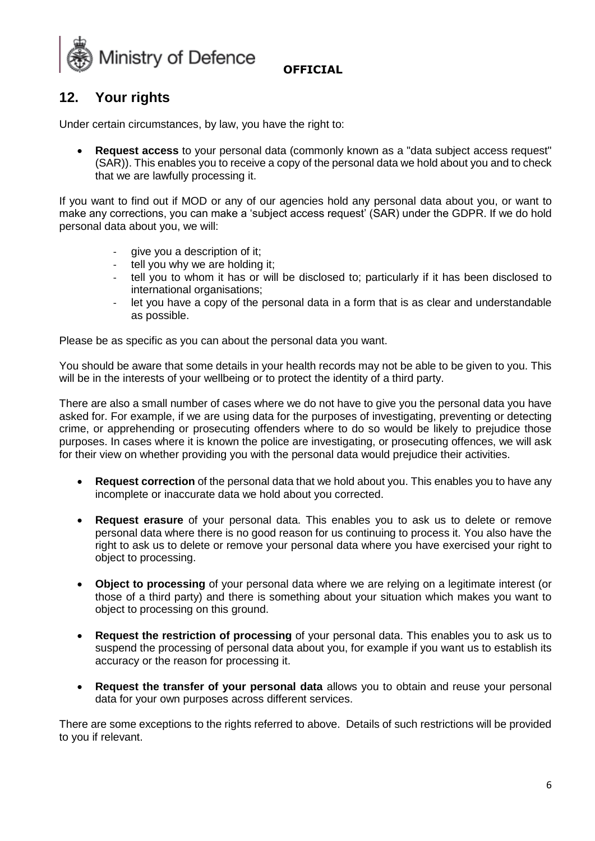

# **12. Your rights**

Under certain circumstances, by law, you have the right to:

• **Request access** to your personal data (commonly known as a "data subject access request" (SAR)). This enables you to receive a copy of the personal data we hold about you and to check that we are lawfully processing it.

If you want to find out if MOD or any of our agencies hold any personal data about you, or want to make any corrections, you can make a 'subject access request' (SAR) under the GDPR. If we do hold personal data about you, we will:

- give you a description of it;
- tell you why we are holding it;
- tell you to whom it has or will be disclosed to; particularly if it has been disclosed to international organisations;
- let you have a copy of the personal data in a form that is as clear and understandable as possible.

Please be as specific as you can about the personal data you want.

You should be aware that some details in your health records may not be able to be given to you. This will be in the interests of your wellbeing or to protect the identity of a third party.

There are also a small number of cases where we do not have to give you the personal data you have asked for. For example, if we are using data for the purposes of investigating, preventing or detecting crime, or apprehending or prosecuting offenders where to do so would be likely to prejudice those purposes. In cases where it is known the police are investigating, or prosecuting offences, we will ask for their view on whether providing you with the personal data would prejudice their activities.

- **Request correction** of the personal data that we hold about you. This enables you to have any incomplete or inaccurate data we hold about you corrected.
- **Request erasure** of your personal data. This enables you to ask us to delete or remove personal data where there is no good reason for us continuing to process it. You also have the right to ask us to delete or remove your personal data where you have exercised your right to object to processing.
- **Object to processing** of your personal data where we are relying on a legitimate interest (or those of a third party) and there is something about your situation which makes you want to object to processing on this ground.
- **Request the restriction of processing** of your personal data. This enables you to ask us to suspend the processing of personal data about you, for example if you want us to establish its accuracy or the reason for processing it.
- **Request the transfer of your personal data** allows you to obtain and reuse your personal data for your own purposes across different services.

There are some exceptions to the rights referred to above. Details of such restrictions will be provided to you if relevant.